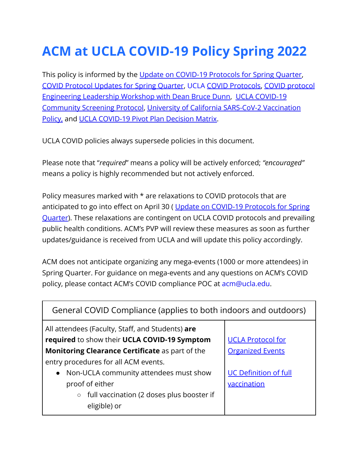## **ACM at UCLA COVID-19 Policy Spring 2022**

This policy is informed by the Update on COVID-19 [Protocols for Spring Quarter,](https://covid-19.ucla.edu/update-on-covid-19-protocols-for-spring-quarter/) [COVID Protocol Updates for Spring Quarter](https://covid-19.ucla.edu/covid-19-protocol-updates-for-spring-quarter/), UCLA COVID Protocols, COVID protocol Engineering Leadership Workshop with Dean Bruce Dunn, [UCLA COVID-19](https://ucla.app.box.com/s/nyn8o916283x0bqeuj2ssgpus8klecrt) [Community Screening Protocol](https://ucla.app.box.com/s/nyn8o916283x0bqeuj2ssgpus8klecrt), University of California [SARS-CoV-2 Vaccination](https://policy.ucop.edu/doc/5000695/SARS-CoV-2_Covid-19) [Policy,](https://policy.ucop.edu/doc/5000695/SARS-CoV-2_Covid-19) and [UCLA COVID-19 Pivot Plan Decision Matrix.](https://ucla.app.box.com/s/mv32q624ojihohzh8d0mhhj0b3xluzbz)

UCLA COVID policies always supersede policies in this document.

Please note that "*required*" means a policy will be actively enforced; *"encouraged"* means a policy is highly recommended but not actively enforced.

Policy measures marked with \* are relaxations to COVID protocols that are anticipated to go into effect on April 30 ( Update [on COVID-19 Protocols for Spring](https://covid-19.ucla.edu/update-on-covid-19-protocols-for-spring-quarter/) [Quarter](https://covid-19.ucla.edu/update-on-covid-19-protocols-for-spring-quarter/)). These relaxations are contingent on UCLA COVID protocols and prevailing public health conditions. ACM's PVP will review these measures as soon as further updates/guidance is received from UCLA and will update this policy accordingly.

ACM does not anticipate organizing any mega-events (1000 or more attendees) in Spring Quarter. For guidance on mega-events and any questions on ACM's COVID policy, please contact ACM's COVID compliance POC at acm@ucla.edu.

| General COVID Compliance (applies to both indoors and outdoors) |                              |  |
|-----------------------------------------------------------------|------------------------------|--|
| All attendees (Faculty, Staff, and Students) are                |                              |  |
| required to show their UCLA COVID-19 Symptom                    | <b>UCLA Protocol for</b>     |  |
| Monitoring Clearance Certificate as part of the                 | <b>Organized Events</b>      |  |
| entry procedures for all ACM events.                            |                              |  |
| Non-UCLA community attendees must show                          | <b>UC Definition of full</b> |  |
| proof of either                                                 | vaccination                  |  |
| full vaccination (2 doses plus booster if<br>$\circ$            |                              |  |
| eligible) or                                                    |                              |  |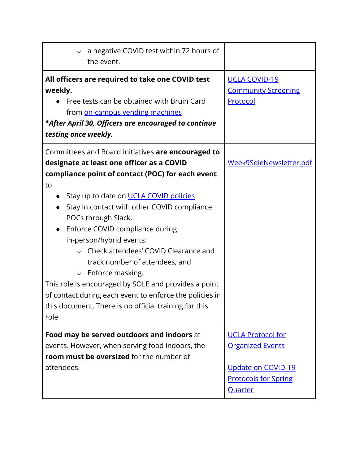| a negative COVID test within 72 hours of<br>$\circlearrowright$<br>the event.                                                                                                                                                                                                                                                                                                                                                                                                                                                                                                                                                                                |                                                                                                                     |
|--------------------------------------------------------------------------------------------------------------------------------------------------------------------------------------------------------------------------------------------------------------------------------------------------------------------------------------------------------------------------------------------------------------------------------------------------------------------------------------------------------------------------------------------------------------------------------------------------------------------------------------------------------------|---------------------------------------------------------------------------------------------------------------------|
| All officers are required to take one COVID test<br>weekly.<br>Free tests can be obtained with Bruin Card<br>from on-campus vending machines<br>*After April 30, Officers are encouraged to continue<br>testing once weekly.                                                                                                                                                                                                                                                                                                                                                                                                                                 | <b>UCLA COVID-19</b><br><b>Community Screening</b><br>Protocol                                                      |
| Committees and Board initiatives are encouraged to<br>designate at least one officer as a COVID<br>compliance point of contact (POC) for each event<br>to<br>Stay up to date on UCLA COVID policies<br>Stay in contact with other COVID compliance<br>POCs through Slack.<br>Enforce COVID compliance during<br>in-person/hybrid events:<br>Check attendees' COVID Clearance and<br>$\circ$<br>track number of attendees, and<br>Enforce masking.<br>$\circlearrowright$<br>This role is encouraged by SOLE and provides a point<br>of contact during each event to enforce the policies in<br>this document. There is no official training for this<br>role | Week9SoleNewsletter.pdf                                                                                             |
| Food may be served outdoors and indoors at<br>events. However, when serving food indoors, the<br>room must be oversized for the number of<br>attendees.                                                                                                                                                                                                                                                                                                                                                                                                                                                                                                      | <b>UCLA Protocol for</b><br><b>Organized Events</b><br>Update on COVID-19<br><b>Protocols for Spring</b><br>Quarter |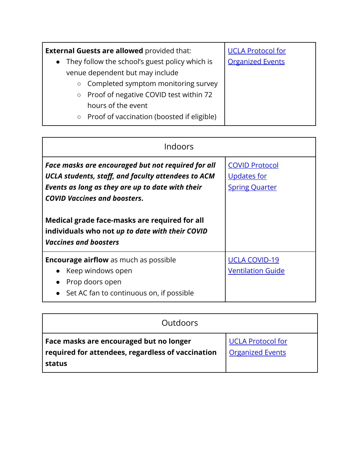|            | <b>External Guests are allowed provided that:</b> | <b>UCLA Protocol for</b> |
|------------|---------------------------------------------------|--------------------------|
|            | • They follow the school's guest policy which is  | <b>Organized Events</b>  |
|            | venue dependent but may include                   |                          |
| $\circ$    | Completed symptom monitoring survey               |                          |
| $\circ$    | Proof of negative COVID test within 72            |                          |
|            | hours of the event                                |                          |
| $\bigcirc$ | Proof of vaccination (boosted if eligible)        |                          |

| Indoors                                                                                                                                                                                                                                                                                                                                 |                                                               |  |
|-----------------------------------------------------------------------------------------------------------------------------------------------------------------------------------------------------------------------------------------------------------------------------------------------------------------------------------------|---------------------------------------------------------------|--|
| Face masks are encouraged but not required for all<br>UCLA students, staff, and faculty attendees to ACM<br>Events as long as they are up to date with their<br><b>COVID Vaccines and boosters.</b><br>Medical grade face-masks are required for all<br>individuals who not up to date with their COVID<br><b>Vaccines and boosters</b> | <b>COVID Protocol</b><br>Updates for<br><b>Spring Quarter</b> |  |
| <b>Encourage airflow</b> as much as possible<br>Keep windows open<br>Prop doors open<br>Set AC fan to continuous on, if possible                                                                                                                                                                                                        | <b>UCLA COVID-19</b><br><b>Ventilation Guide</b>              |  |

| <b>Outdoors</b>                                                                                        |                                                     |
|--------------------------------------------------------------------------------------------------------|-----------------------------------------------------|
| Face masks are encouraged but no longer<br>required for attendees, regardless of vaccination<br>status | <b>UCLA Protocol for</b><br><b>Organized Events</b> |